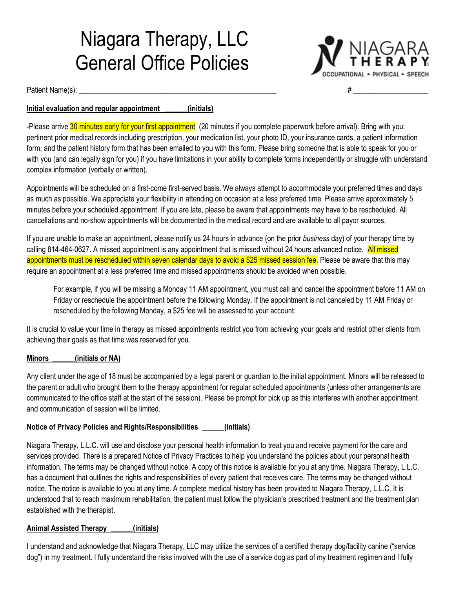# Niagara Therapy, LLC General Office Policies



Patient Name(s): \_\_\_\_\_\_\_\_\_\_\_\_\_\_\_\_\_\_\_\_\_\_\_\_\_\_\_\_\_\_\_\_\_\_\_\_\_\_\_\_\_\_\_\_\_\_\_\_\_\_\_\_\_ # \_\_\_\_\_\_\_\_\_\_\_\_\_\_\_\_\_\_\_\_

## **Initial evaluation and regular appointment \_\_\_\_\_\_(initials)**

-Please arrive 30 minutes early for your first appointment (20 minutes if you complete paperwork before arrival). Bring with you: pertinent prior medical records including prescription, your medication list, your photo ID, your insurance cards, a patient information form, and the patient history form that has been emailed to you with this form. Please bring someone that is able to speak for you or with you (and can legally sign for you) if you have limitations in your ability to complete forms independently or struggle with understand complex information (verbally or written).

Appointments will be scheduled on a first-come first-served basis. We always attempt to accommodate your preferred times and days as much as possible. We appreciate your flexibility in attending on occasion at a less preferred time. Please arrive approximately 5 minutes before your scheduled appointment. If you are late, please be aware that appointments may have to be rescheduled. All cancellations and no-show appointments will be documented in the medical record and are available to all payor sources.

If you are unable to make an appointment, please notify us 24 hours in advance (on the prior *business* day) of your therapy time by calling 814-464-0627. A missed appointment is any appointment that is missed without 24 hours advanced notice. All missed appointments must be rescheduled within seven calendar days to avoid a \$25 missed session fee. Please be aware that this may require an appointment at a less preferred time and missed appointments should be avoided when possible.

For example, if you will be missing a Monday 11 AM appointment, you must call and cancel the appointment before 11 AM on Friday or reschedule the appointment before the following Monday. If the appointment is not canceled by 11 AM Friday or rescheduled by the following Monday, a \$25 fee will be assessed to your account.

It is crucial to value your time in therapy as missed appointments restrict you from achieving your goals and restrict other clients from achieving their goals as that time was reserved for you.

#### **Minors \_\_\_\_\_\_(initials or NA)**

Any client under the age of 18 must be accompanied by a legal parent or guardian to the initial appointment. Minors will be released to the parent or adult who brought them to the therapy appointment for regular scheduled appointments (unless other arrangements are communicated to the office staff at the start of the session). Please be prompt for pick up as this interferes with another appointment and communication of session will be limited.

## **Notice of Privacy Policies and Rights/Responsibilities \_\_\_\_\_\_(initials)**

Niagara Therapy, L.L.C. will use and disclose your personal health information to treat you and receive payment for the care and services provided. There is a prepared Notice of Privacy Practices to help you understand the policies about your personal health information. The terms may be changed without notice. A copy of this notice is available for you at any time. Niagara Therapy, L.L.C. has a document that outlines the rights and responsibilities of every patient that receives care. The terms may be changed without notice. The notice is available to you at any time. A complete medical history has been provided to Niagara Therapy, L.L.C. It is understood that to reach maximum rehabilitation, the patient must follow the physician's prescribed treatment and the treatment plan established with the therapist.

#### **Animal Assisted Therapy \_\_\_\_\_\_(initials)**

I understand and acknowledge that Niagara Therapy, LLC may utilize the services of a certified therapy dog/facility canine ("service dog") in my treatment. I fully understand the risks involved with the use of a service dog as part of my treatment regimen and I fully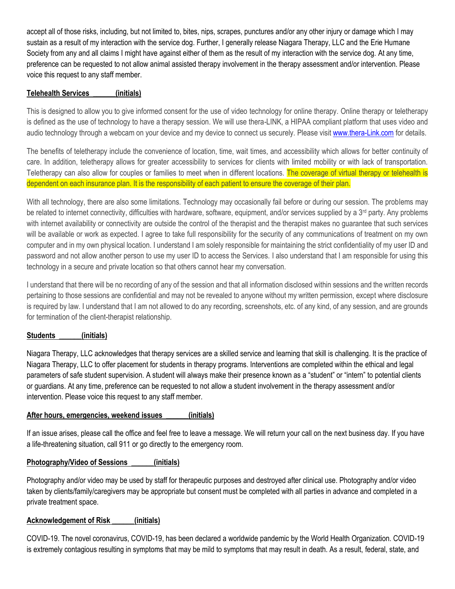accept all of those risks, including, but not limited to, bites, nips, scrapes, punctures and/or any other injury or damage which I may sustain as a result of my interaction with the service dog. Further, I generally release Niagara Therapy, LLC and the Erie Humane Society from any and all claims I might have against either of them as the result of my interaction with the service dog. At any time, preference can be requested to not allow animal assisted therapy involvement in the therapy assessment and/or intervention. Please voice this request to any staff member.

#### **Telehealth Services \_\_\_\_\_\_(initials)**

This is designed to allow you to give informed consent for the use of video technology for online therapy. Online therapy or teletherapy is defined as the use of technology to have a therapy session. We will use thera-LINK, a HIPAA compliant platform that uses video and audio technology through a webcam on your device and my device to connect us securely. Please visit [www.thera-Link.com](http://www.thera-link.com/) for details.

The benefits of teletherapy include the convenience of location, time, wait times, and accessibility which allows for better continuity of care. In addition, teletherapy allows for greater accessibility to services for clients with limited mobility or with lack of transportation. Teletherapy can also allow for couples or families to meet when in different locations. The coverage of virtual therapy or telehealth is dependent on each insurance plan. It is the responsibility of each patient to ensure the coverage of their plan.

With all technology, there are also some limitations. Technology may occasionally fail before or during our session. The problems may be related to internet connectivity, difficulties with hardware, software, equipment, and/or services supplied by a 3<sup>rd</sup> party. Any problems with internet availability or connectivity are outside the control of the therapist and the therapist makes no guarantee that such services will be available or work as expected. I agree to take full responsibility for the security of any communications of treatment on my own computer and in my own physical location. I understand I am solely responsible for maintaining the strict confidentiality of my user ID and password and not allow another person to use my user ID to access the Services. I also understand that I am responsible for using this technology in a secure and private location so that others cannot hear my conversation.

I understand that there will be no recording of any of the session and that all information disclosed within sessions and the written records pertaining to those sessions are confidential and may not be revealed to anyone without my written permission, except where disclosure is required by law. I understand that I am not allowed to do any recording, screenshots, etc. of any kind, of any session, and are grounds for termination of the client-therapist relationship.

#### **Students \_\_\_\_\_\_(initials)**

Niagara Therapy, LLC acknowledges that therapy services are a skilled service and learning that skill is challenging. It is the practice of Niagara Therapy, LLC to offer placement for students in therapy programs. Interventions are completed within the ethical and legal parameters of safe student supervision. A student will always make their presence known as a "student" or "intern" to potential clients or guardians. At any time, preference can be requested to not allow a student involvement in the therapy assessment and/or intervention. Please voice this request to any staff member.

#### **After hours, emergencies, weekend issues \_\_\_\_\_\_(initials)**

If an issue arises, please call the office and feel free to leave a message. We will return your call on the next business day. If you have a life-threatening situation, call 911 or go directly to the emergency room.

#### **Photography/Video of Sessions \_\_\_\_\_\_(initials)**

Photography and/or video may be used by staff for therapeutic purposes and destroyed after clinical use. Photography and/or video taken by clients/family/caregivers may be appropriate but consent must be completed with all parties in advance and completed in a private treatment space.

#### **Acknowledgement of Risk \_\_\_\_\_\_(initials)**

COVID-19. The novel coronavirus, COVID-19, has been declared a worldwide pandemic by the World Health Organization. COVID-19 is extremely contagious resulting in symptoms that may be mild to symptoms that may result in death. As a result, federal, state, and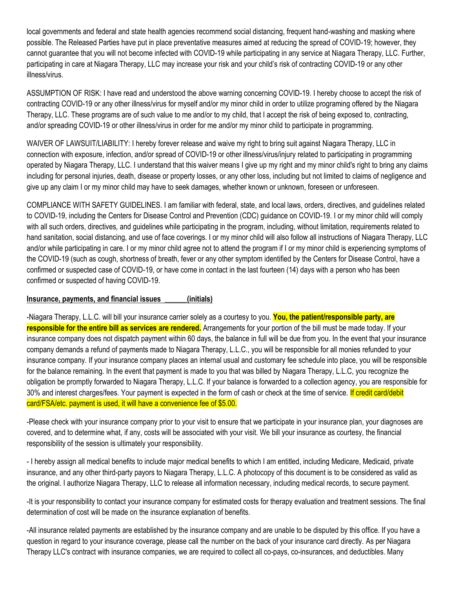local governments and federal and state health agencies recommend social distancing, frequent hand-washing and masking where possible. The Released Parties have put in place preventative measures aimed at reducing the spread of COVID-19; however, they cannot guarantee that you will not become infected with COVID-19 while participating in any service at Niagara Therapy, LLC. Further, participating in care at Niagara Therapy, LLC may increase your risk and your child's risk of contracting COVID-19 or any other illness/virus.

ASSUMPTION OF RISK: I have read and understood the above warning concerning COVID-19. I hereby choose to accept the risk of contracting COVID-19 or any other illness/virus for myself and/or my minor child in order to utilize programing offered by the Niagara Therapy, LLC. These programs are of such value to me and/or to my child, that I accept the risk of being exposed to, contracting, and/or spreading COVID-19 or other illness/virus in order for me and/or my minor child to participate in programming.

WAIVER OF LAWSUIT/LIABILITY: I hereby forever release and waive my right to bring suit against Niagara Therapy, LLC in connection with exposure, infection, and/or spread of COVID-19 or other illness/virus/injury related to participating in programming operated by Niagara Therapy, LLC. I understand that this waiver means I give up my right and my minor child's right to bring any claims including for personal injuries, death, disease or property losses, or any other loss, including but not limited to claims of negligence and give up any claim I or my minor child may have to seek damages, whether known or unknown, foreseen or unforeseen.

COMPLIANCE WITH SAFETY GUIDELINES. I am familiar with federal, state, and local laws, orders, directives, and guidelines related to COVID-19, including the Centers for Disease Control and Prevention (CDC) guidance on COVID-19. I or my minor child will comply with all such orders, directives, and guidelines while participating in the program, including, without limitation, requirements related to hand sanitation, social distancing, and use of face coverings. I or my minor child will also follow all instructions of Niagara Therapy, LLC and/or while participating in care. I or my minor child agree not to attend the program if I or my minor child is experiencing symptoms of the COVID-19 (such as cough, shortness of breath, fever or any other symptom identified by the Centers for Disease Control, have a confirmed or suspected case of COVID-19, or have come in contact in the last fourteen (14) days with a person who has been confirmed or suspected of having COVID-19.

#### **Insurance, payments, and financial issues \_\_\_\_\_\_(initials)**

-Niagara Therapy, L.L.C. will bill your insurance carrier solely as a courtesy to you. **You, the patient/responsible party, are responsible for the entire bill as services are rendered.** Arrangements for your portion of the bill must be made today. If your insurance company does not dispatch payment within 60 days, the balance in full will be due from you. In the event that your insurance company demands a refund of payments made to Niagara Therapy, L.L.C., you will be responsible for all monies refunded to your insurance company. If your insurance company places an internal usual and customary fee schedule into place, you will be responsible for the balance remaining. In the event that payment is made to you that was billed by Niagara Therapy, L.L.C, you recognize the obligation be promptly forwarded to Niagara Therapy, L.L.C. If your balance is forwarded to a collection agency, you are responsible for 30% and interest charges/fees. Your payment is expected in the form of cash or check at the time of service. If credit card/debit card/FSA/etc. payment is used, it will have a convenience fee of \$5.00.

-Please check with your insurance company prior to your visit to ensure that we participate in your insurance plan, your diagnoses are covered, and to determine what, if any, costs will be associated with your visit. We bill your insurance as courtesy, the financial responsibility of the session is ultimately your responsibility.

- I hereby assign all medical benefits to include major medical benefits to which I am entitled, including Medicare, Medicaid, private insurance, and any other third-party payors to Niagara Therapy, L.L.C. A photocopy of this document is to be considered as valid as the original. I authorize Niagara Therapy, LLC to release all information necessary, including medical records, to secure payment.

-It is your responsibility to contact your insurance company for estimated costs for therapy evaluation and treatment sessions. The final determination of cost will be made on the insurance explanation of benefits.

-All insurance related payments are established by the insurance company and are unable to be disputed by this office. If you have a question in regard to your insurance coverage, please call the number on the back of your insurance card directly. As per Niagara Therapy LLC's contract with insurance companies, we are required to collect all co-pays, co-insurances, and deductibles. Many